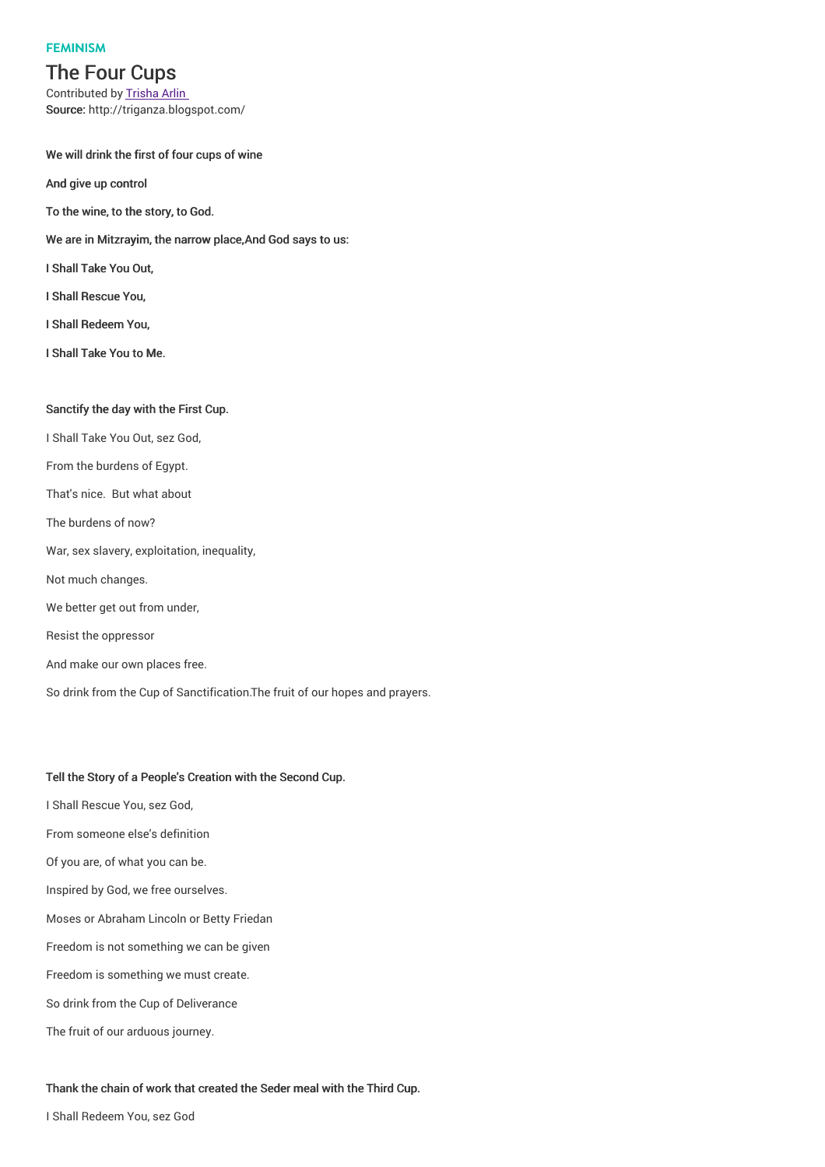### **FEMINISM**

# The Four Cups

Contributed by Trisha Arlin Source: http://triganza.blogspot.com/

### We will drink the first of four cups of wine

And give up control

To the wine, to the story, to God.

- We are in Mitzrayim, the narrow place,And God says to us:
- I Shall Take You Out,
- I Shall Rescue You,
- I Shall Redeem You,
- I Shall Take You to Me.

# Sanctify the day with the First Cup.

I Shall Take You Out, sez God, From the burdens of Egypt. That's nice. But what about The burdens of now? War, sex slavery, exploitation, inequality, Not much changes. We better get out from under, Resist the oppressor And make our own places free. So drink from the Cup of Sanctification.The fruit of our hopes and prayers.

### Tell the Story of a People's Creation with the Second Cup.

- I Shall Rescue You, sez God,
- From someone else's definition
- Of you are, of what you can be.
- Inspired by God, we free ourselves.
- Moses or Abraham Lincoln or Betty Friedan
- Freedom is not something we can be given
- Freedom is something we must create.
- So drink from the Cup of Deliverance
- The fruit of our arduous journey.

#### Thank the chain of work that created the Seder meal with the Third Cup.